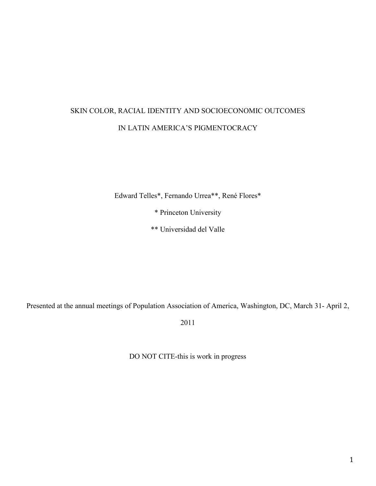# SKIN COLOR, RACIAL IDENTITY AND SOCIOECONOMIC OUTCOMES IN LATIN AMERICA'S PIGMENTOCRACY

Edward Telles\*, Fernando Urrea\*\*, René Flores\*

\* Princeton University

\*\* Universidad del Valle

Presented at the annual meetings of Population Association of America, Washington, DC, March 31- April 2,

2011

DO NOT CITE-this is work in progress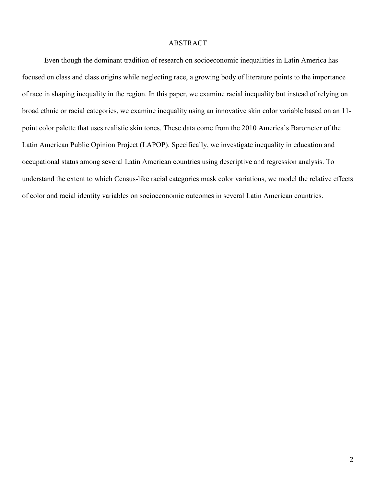#### ABSTRACT

Even though the dominant tradition of research on socioeconomic inequalities in Latin America has focused on class and class origins while neglecting race, a growing body of literature points to the importance of race in shaping inequality in the region. In this paper, we examine racial inequality but instead of relying on broad ethnic or racial categories, we examine inequality using an innovative skin color variable based on an 11 point color palette that uses realistic skin tones. These data come from the 2010 America's Barometer of the Latin American Public Opinion Project (LAPOP). Specifically, we investigate inequality in education and occupational status among several Latin American countries using descriptive and regression analysis. To understand the extent to which Census-like racial categories mask color variations, we model the relative effects of color and racial identity variables on socioeconomic outcomes in several Latin American countries.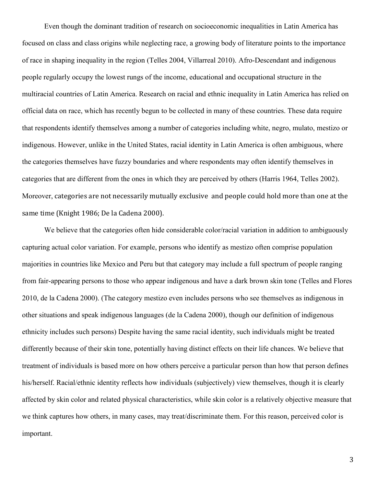Even though the dominant tradition of research on socioeconomic inequalities in Latin America has focused on class and class origins while neglecting race, a growing body of literature points to the importance of race in shaping inequality in the region (Telles 2004, Villarreal 2010). Afro-Descendant and indigenous people regularly occupy the lowest rungs of the income, educational and occupational structure in the multiracial countries of Latin America. Research on racial and ethnic inequality in Latin America has relied on official data on race, which has recently begun to be collected in many of these countries. These data require that respondents identify themselves among a number of categories including white, negro, mulato, mestizo or indigenous. However, unlike in the United States, racial identity in Latin America is often ambiguous, where the categories themselves have fuzzy boundaries and where respondents may often identify themselves in categories that are different from the ones in which they are perceived by others (Harris 1964, Telles 2002). Moreover, categories are not necessarily mutually exclusive and people could hold more than one at the same time (Knight 1986; De la Cadena 2000).

We believe that the categories often hide considerable color/racial variation in addition to ambiguously capturing actual color variation. For example, persons who identify as mestizo often comprise population majorities in countries like Mexico and Peru but that category may include a full spectrum of people ranging from fair-appearing persons to those who appear indigenous and have a dark brown skin tone (Telles and Flores 2010, de la Cadena 2000). (The category mestizo even includes persons who see themselves as indigenous in other situations and speak indigenous languages (de la Cadena 2000), though our definition of indigenous ethnicity includes such persons) Despite having the same racial identity, such individuals might be treated differently because of their skin tone, potentially having distinct effects on their life chances. We believe that treatment of individuals is based more on how others perceive a particular person than how that person defines his/herself. Racial/ethnic identity reflects how individuals (subjectively) view themselves, though it is clearly affected by skin color and related physical characteristics, while skin color is a relatively objective measure that we think captures how others, in many cases, may treat/discriminate them. For this reason, perceived color is important.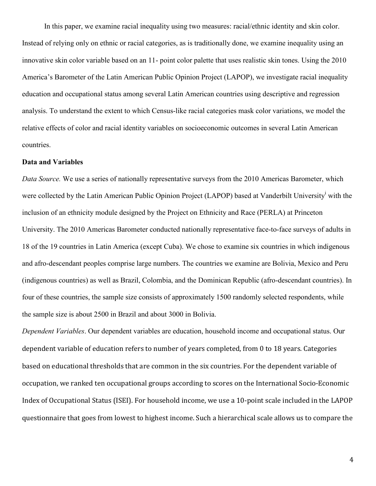In this paper, we examine racial inequality using two measures: racial/ethnic identity and skin color. Instead of relying only on ethnic or racial categories, as is traditionally done, we examine inequality using an innovative skin color variable based on an 11- point color palette that uses realistic skin tones. Using the 2010 America's Barometer of the Latin American Public Opinion Project (LAPOP), we investigate racial inequality education and occupational status among several Latin American countries using descriptive and regression analysis. To understand the extent to which Census-like racial categories mask color variations, we model the relative effects of color and racial identity variables on socioeconomic outcomes in several Latin American countries.

## **Data and Variables**

*Data Source.* We use a series of nationally representative surveys from the 2010 Americas Barometer, which were collected by the Latin American Public Opinion Project (LAPOP) based at Vanderbilt University<sup>i</sup> with the inclusion of an ethnicity module designed by the Project on Ethnicity and Race (PERLA) at Princeton University. The 2010 Americas Barometer conducted nationally representative face-to-face surveys of adults in 18 of the 19 countries in Latin America (except Cuba). We chose to examine six countries in which indigenous and afro-descendant peoples comprise large numbers. The countries we examine are Bolivia, Mexico and Peru (indigenous countries) as well as Brazil, Colombia, and the Dominican Republic (afro-descendant countries). In four of these countries, the sample size consists of approximately 1500 randomly selected respondents, while the sample size is about 2500 in Brazil and about 3000 in Bolivia.

*Dependent Variables*. Our dependent variables are education, household income and occupational status. Our dependent variable of education refers to number of years completed, from 0 to 18 years. Categories based on educational thresholds that are common in the six countries. For the dependent variable of occupation, we ranked ten occupational groups according to scores on the International Socio-Economic Index of Occupational Status (ISEI). For household income, we use a 10-point scale included in the LAPOP questionnaire that goes from lowest to highest income. Such a hierarchical scale allows us to compare the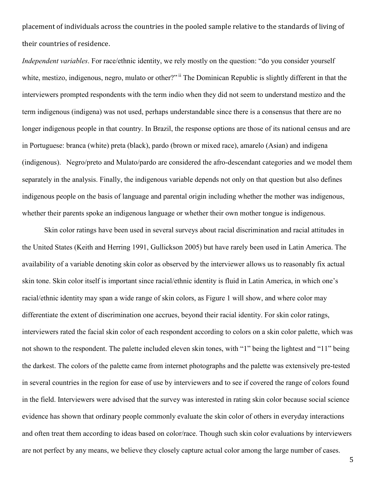placement of individuals across the countries in the pooled sample relative to the standards of living of their countries of residence.

*Independent variables*. For race/ethnic identity, we rely mostly on the question: "do you consider yourself white, mestizo, indigenous, negro, mulato or other?" if The Dominican Republic is slightly different in that the interviewers prompted respondents with the term indio when they did not seem to understand mestizo and the term indigenous (indigena) was not used, perhaps understandable since there is a consensus that there are no longer indigenous people in that country. In Brazil, the response options are those of its national census and are in Portuguese: branca (white) preta (black), pardo (brown or mixed race), amarelo (Asian) and indigena (indigenous). Negro/preto and Mulato/pardo are considered the afro-descendant categories and we model them separately in the analysis. Finally, the indigenous variable depends not only on that question but also defines indigenous people on the basis of language and parental origin including whether the mother was indigenous, whether their parents spoke an indigenous language or whether their own mother tongue is indigenous.

Skin color ratings have been used in several surveys about racial discrimination and racial attitudes in the United States (Keith and Herring 1991, Gullickson 2005) but have rarely been used in Latin America. The availability of a variable denoting skin color as observed by the interviewer allows us to reasonably fix actual skin tone. Skin color itself is important since racial/ethnic identity is fluid in Latin America, in which one's racial/ethnic identity may span a wide range of skin colors, as Figure 1 will show, and where color may differentiate the extent of discrimination one accrues, beyond their racial identity. For skin color ratings, interviewers rated the facial skin color of each respondent according to colors on a skin color palette, which was not shown to the respondent. The palette included eleven skin tones, with "1" being the lightest and "11" being the darkest. The colors of the palette came from internet photographs and the palette was extensively pre-tested in several countries in the region for ease of use by interviewers and to see if covered the range of colors found in the field. Interviewers were advised that the survey was interested in rating skin color because social science evidence has shown that ordinary people commonly evaluate the skin color of others in everyday interactions and often treat them according to ideas based on color/race. Though such skin color evaluations by interviewers are not perfect by any means, we believe they closely capture actual color among the large number of cases.

5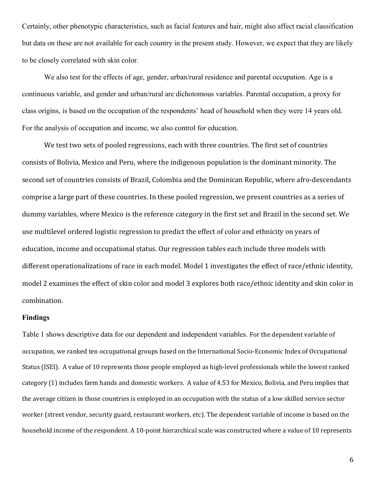Certainly, other phenotypic characteristics, such as facial features and hair, might also affect racial classification but data on these are not available for each country in the present study. However, we expect that they are likely to be closely correlated with skin color.

We also test for the effects of age, gender, urban/rural residence and parental occupation. Age is a continuous variable, and gender and urban/rural are dichotomous variables. Parental occupation, a proxy for class origins, is based on the occupation of the respondents' head of household when they were 14 years old. For the analysis of occupation and income, we also control for education.

We test two sets of pooled regressions, each with three countries. The first set of countries consists of Bolivia, Mexico and Peru, where the indigenous population is the dominant minority. The second set of countries consists of Brazil, Colombia and the Dominican Republic, where afro-descendants comprise a large part of these countries. In these pooled regression, we present countries as a series of dummy variables, where Mexico is the reference category in the first set and Brazil in the second set. We use multilevel ordered logistic regression to predict the effect of color and ethnicity on years of education, income and occupational status. Our regression tables each include three models with different operationalizations of race in each model. Model 1 investigates the effect of race/ethnic identity, model 2 examines the effect of skin color and model 3 explores both race/ethnic identity and skin color in combination.

## **Findings**

Table 1 shows descriptive data for our dependent and independent variables. For the dependent variable of occupation, we ranked ten occupational groups based on the International Socio-Economic Index of Occupational Status (ISEI). A value of 10 represents those people employed as high-level professionals while the lowest ranked category (1) includes farm hands and domestic workers. A value of 4.53 for Mexico, Bolivia, and Peru implies that the average citizen in those countries is employed in an occupation with the status of a low skilled service sector worker (street vendor, security guard, restaurant workers, etc). The dependent variable of income is based on the household income of the respondent. A 10-point hierarchical scale was constructed where a value of 10 represents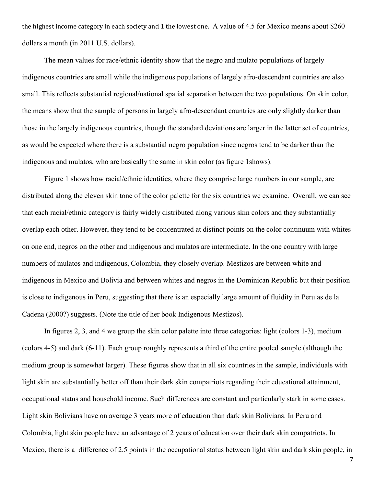the highest income category in each society and 1 the lowest one. A value of 4.5 for Mexico means about \$260 dollars a month (in 2011 U.S. dollars).

The mean values for race/ethnic identity show that the negro and mulato populations of largely indigenous countries are small while the indigenous populations of largely afro-descendant countries are also small. This reflects substantial regional/national spatial separation between the two populations. On skin color, the means show that the sample of persons in largely afro-descendant countries are only slightly darker than those in the largely indigenous countries, though the standard deviations are larger in the latter set of countries, as would be expected where there is a substantial negro population since negros tend to be darker than the indigenous and mulatos, who are basically the same in skin color (as figure 1shows).

 Figure 1 shows how racial/ethnic identities, where they comprise large numbers in our sample, are distributed along the eleven skin tone of the color palette for the six countries we examine. Overall, we can see that each racial/ethnic category is fairly widely distributed along various skin colors and they substantially overlap each other. However, they tend to be concentrated at distinct points on the color continuum with whites on one end, negros on the other and indigenous and mulatos are intermediate. In the one country with large numbers of mulatos and indigenous, Colombia, they closely overlap. Mestizos are between white and indigenous in Mexico and Bolivia and between whites and negros in the Dominican Republic but their position is close to indigenous in Peru, suggesting that there is an especially large amount of fluidity in Peru as de la Cadena (2000?) suggests. (Note the title of her book Indigenous Mestizos).

 In figures 2, 3, and 4 we group the skin color palette into three categories: light (colors 1-3), medium (colors 4-5) and dark (6-11). Each group roughly represents a third of the entire pooled sample (although the medium group is somewhat larger). These figures show that in all six countries in the sample, individuals with light skin are substantially better off than their dark skin compatriots regarding their educational attainment, occupational status and household income. Such differences are constant and particularly stark in some cases. Light skin Bolivians have on average 3 years more of education than dark skin Bolivians. In Peru and Colombia, light skin people have an advantage of 2 years of education over their dark skin compatriots. In Mexico, there is a difference of 2.5 points in the occupational status between light skin and dark skin people, in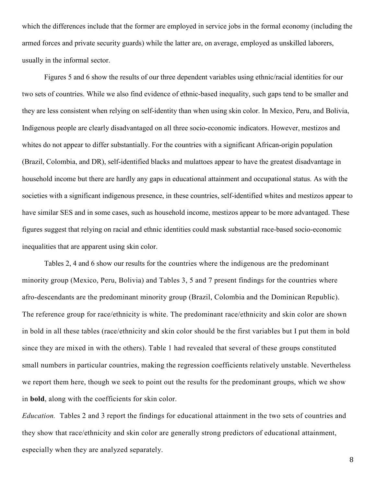which the differences include that the former are employed in service jobs in the formal economy (including the armed forces and private security guards) while the latter are, on average, employed as unskilled laborers, usually in the informal sector.

 Figures 5 and 6 show the results of our three dependent variables using ethnic/racial identities for our two sets of countries. While we also find evidence of ethnic-based inequality, such gaps tend to be smaller and they are less consistent when relying on self-identity than when using skin color. In Mexico, Peru, and Bolivia, Indigenous people are clearly disadvantaged on all three socio-economic indicators. However, mestizos and whites do not appear to differ substantially. For the countries with a significant African-origin population (Brazil, Colombia, and DR), self-identified blacks and mulattoes appear to have the greatest disadvantage in household income but there are hardly any gaps in educational attainment and occupational status. As with the societies with a significant indigenous presence, in these countries, self-identified whites and mestizos appear to have similar SES and in some cases, such as household income, mestizos appear to be more advantaged. These figures suggest that relying on racial and ethnic identities could mask substantial race-based socio-economic inequalities that are apparent using skin color.

Tables 2, 4 and 6 show our results for the countries where the indigenous are the predominant minority group (Mexico, Peru, Bolivia) and Tables 3, 5 and 7 present findings for the countries where afro-descendants are the predominant minority group (Brazil, Colombia and the Dominican Republic). The reference group for race/ethnicity is white. The predominant race/ethnicity and skin color are shown in bold in all these tables (race/ethnicity and skin color should be the first variables but I put them in bold since they are mixed in with the others). Table 1 had revealed that several of these groups constituted small numbers in particular countries, making the regression coefficients relatively unstable. Nevertheless we report them here, though we seek to point out the results for the predominant groups, which we show in **bold**, along with the coefficients for skin color.

*Education.* Tables 2 and 3 report the findings for educational attainment in the two sets of countries and they show that race/ethnicity and skin color are generally strong predictors of educational attainment, especially when they are analyzed separately.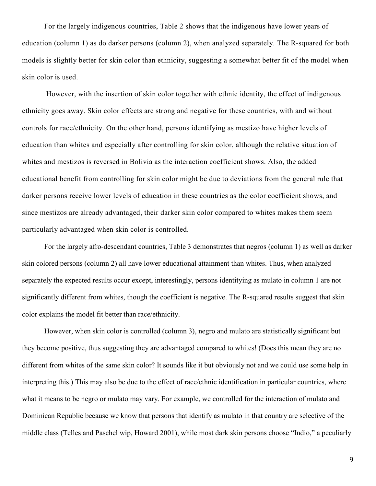For the largely indigenous countries, Table 2 shows that the indigenous have lower years of education (column 1) as do darker persons (column 2), when analyzed separately. The R-squared for both models is slightly better for skin color than ethnicity, suggesting a somewhat better fit of the model when skin color is used.

 However, with the insertion of skin color together with ethnic identity, the effect of indigenous ethnicity goes away. Skin color effects are strong and negative for these countries, with and without controls for race/ethnicity. On the other hand, persons identifying as mestizo have higher levels of education than whites and especially after controlling for skin color, although the relative situation of whites and mestizos is reversed in Bolivia as the interaction coefficient shows. Also, the added educational benefit from controlling for skin color might be due to deviations from the general rule that darker persons receive lower levels of education in these countries as the color coefficient shows, and since mestizos are already advantaged, their darker skin color compared to whites makes them seem particularly advantaged when skin color is controlled.

For the largely afro-descendant countries, Table 3 demonstrates that negros (column 1) as well as darker skin colored persons (column 2) all have lower educational attainment than whites. Thus, when analyzed separately the expected results occur except, interestingly, persons identitying as mulato in column 1 are not significantly different from whites, though the coefficient is negative. The R-squared results suggest that skin color explains the model fit better than race/ethnicity.

However, when skin color is controlled (column 3), negro and mulato are statistically significant but they become positive, thus suggesting they are advantaged compared to whites! (Does this mean they are no different from whites of the same skin color? It sounds like it but obviously not and we could use some help in interpreting this.) This may also be due to the effect of race/ethnic identification in particular countries, where what it means to be negro or mulato may vary. For example, we controlled for the interaction of mulato and Dominican Republic because we know that persons that identify as mulato in that country are selective of the middle class (Telles and Paschel wip, Howard 2001), while most dark skin persons choose "Indio," a peculiarly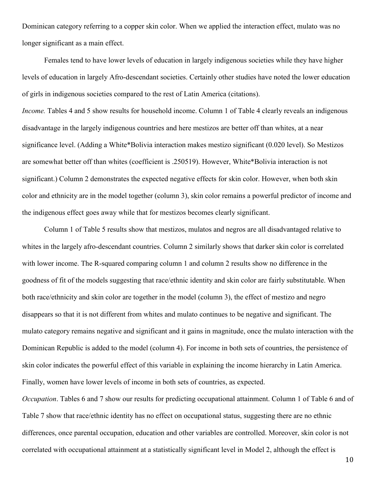Dominican category referring to a copper skin color. When we applied the interaction effect, mulato was no longer significant as a main effect.

Females tend to have lower levels of education in largely indigenous societies while they have higher levels of education in largely Afro-descendant societies. Certainly other studies have noted the lower education of girls in indigenous societies compared to the rest of Latin America (citations).

*Income.* Tables 4 and 5 show results for household income. Column 1 of Table 4 clearly reveals an indigenous disadvantage in the largely indigenous countries and here mestizos are better off than whites, at a near significance level. (Adding a White\*Bolivia interaction makes mestizo significant (0.020 level). So Mestizos are somewhat better off than whites (coefficient is .250519). However, White\*Bolivia interaction is not significant.) Column 2 demonstrates the expected negative effects for skin color. However, when both skin color and ethnicity are in the model together (column 3), skin color remains a powerful predictor of income and the indigenous effect goes away while that for mestizos becomes clearly significant.

 Column 1 of Table 5 results show that mestizos, mulatos and negros are all disadvantaged relative to whites in the largely afro-descendant countries. Column 2 similarly shows that darker skin color is correlated with lower income. The R-squared comparing column 1 and column 2 results show no difference in the goodness of fit of the models suggesting that race/ethnic identity and skin color are fairly substitutable. When both race/ethnicity and skin color are together in the model (column 3), the effect of mestizo and negro disappears so that it is not different from whites and mulato continues to be negative and significant. The mulato category remains negative and significant and it gains in magnitude, once the mulato interaction with the Dominican Republic is added to the model (column 4). For income in both sets of countries, the persistence of skin color indicates the powerful effect of this variable in explaining the income hierarchy in Latin America. Finally, women have lower levels of income in both sets of countries, as expected.

*Occupation*. Tables 6 and 7 show our results for predicting occupational attainment. Column 1 of Table 6 and of Table 7 show that race/ethnic identity has no effect on occupational status, suggesting there are no ethnic differences, once parental occupation, education and other variables are controlled. Moreover, skin color is not correlated with occupational attainment at a statistically significant level in Model 2, although the effect is

10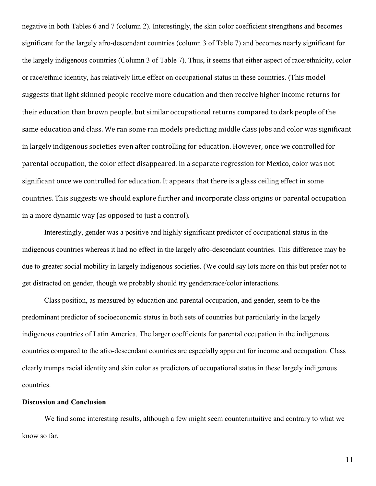negative in both Tables 6 and 7 (column 2). Interestingly, the skin color coefficient strengthens and becomes significant for the largely afro-descendant countries (column 3 of Table 7) and becomes nearly significant for the largely indigenous countries (Column 3 of Table 7). Thus, it seems that either aspect of race/ethnicity, color or race/ethnic identity, has relatively little effect on occupational status in these countries. (This model suggests that light skinned people receive more education and then receive higher income returns for their education than brown people, but similar occupational returns compared to dark people of the same education and class. We ran some ran models predicting middle class jobs and color was significant in largely indigenous societies even after controlling for education. However, once we controlled for parental occupation, the color effect disappeared. In a separate regression for Mexico, color was not significant once we controlled for education. It appears that there is a glass ceiling effect in some countries. This suggests we should explore further and incorporate class origins or parental occupation in a more dynamic way (as opposed to just a control).

Interestingly, gender was a positive and highly significant predictor of occupational status in the indigenous countries whereas it had no effect in the largely afro-descendant countries. This difference may be due to greater social mobility in largely indigenous societies. (We could say lots more on this but prefer not to get distracted on gender, though we probably should try genderxrace/color interactions.

Class position, as measured by education and parental occupation, and gender, seem to be the predominant predictor of socioeconomic status in both sets of countries but particularly in the largely indigenous countries of Latin America. The larger coefficients for parental occupation in the indigenous countries compared to the afro-descendant countries are especially apparent for income and occupation. Class clearly trumps racial identity and skin color as predictors of occupational status in these largely indigenous countries.

#### **Discussion and Conclusion**

We find some interesting results, although a few might seem counterintuitive and contrary to what we know so far.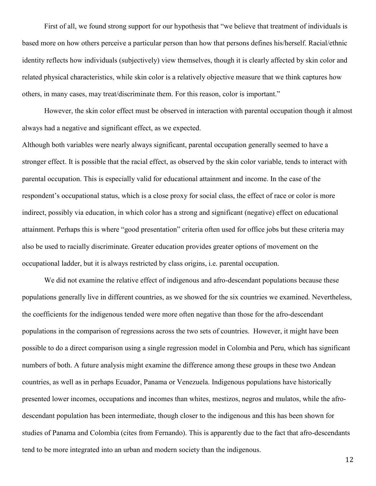First of all, we found strong support for our hypothesis that "we believe that treatment of individuals is based more on how others perceive a particular person than how that persons defines his/herself. Racial/ethnic identity reflects how individuals (subjectively) view themselves, though it is clearly affected by skin color and related physical characteristics, while skin color is a relatively objective measure that we think captures how others, in many cases, may treat/discriminate them. For this reason, color is important."

However, the skin color effect must be observed in interaction with parental occupation though it almost always had a negative and significant effect, as we expected.

Although both variables were nearly always significant, parental occupation generally seemed to have a stronger effect. It is possible that the racial effect, as observed by the skin color variable, tends to interact with parental occupation. This is especially valid for educational attainment and income. In the case of the respondent's occupational status, which is a close proxy for social class, the effect of race or color is more indirect, possibly via education, in which color has a strong and significant (negative) effect on educational attainment. Perhaps this is where "good presentation" criteria often used for office jobs but these criteria may also be used to racially discriminate. Greater education provides greater options of movement on the occupational ladder, but it is always restricted by class origins, i.e. parental occupation.

We did not examine the relative effect of indigenous and afro-descendant populations because these populations generally live in different countries, as we showed for the six countries we examined. Nevertheless, the coefficients for the indigenous tended were more often negative than those for the afro-descendant populations in the comparison of regressions across the two sets of countries. However, it might have been possible to do a direct comparison using a single regression model in Colombia and Peru, which has significant numbers of both. A future analysis might examine the difference among these groups in these two Andean countries, as well as in perhaps Ecuador, Panama or Venezuela. Indigenous populations have historically presented lower incomes, occupations and incomes than whites, mestizos, negros and mulatos, while the afrodescendant population has been intermediate, though closer to the indigenous and this has been shown for studies of Panama and Colombia (cites from Fernando). This is apparently due to the fact that afro-descendants tend to be more integrated into an urban and modern society than the indigenous.

12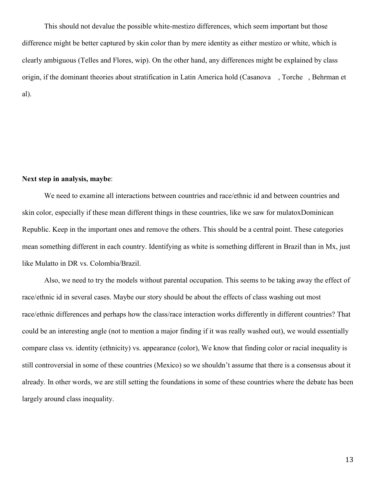This should not devalue the possible white-mestizo differences, which seem important but those difference might be better captured by skin color than by mere identity as either mestizo or white, which is clearly ambiguous (Telles and Flores, wip). On the other hand, any differences might be explained by class origin, if the dominant theories about stratification in Latin America hold (Casanova , Torche , Behrman et al).

## **Next step in analysis, maybe**:

We need to examine all interactions between countries and race/ethnic id and between countries and skin color, especially if these mean different things in these countries, like we saw for mulatoxDominican Republic. Keep in the important ones and remove the others. This should be a central point. These categories mean something different in each country. Identifying as white is something different in Brazil than in Mx, just like Mulatto in DR vs. Colombia/Brazil.

Also, we need to try the models without parental occupation. This seems to be taking away the effect of race/ethnic id in several cases. Maybe our story should be about the effects of class washing out most race/ethnic differences and perhaps how the class/race interaction works differently in different countries? That could be an interesting angle (not to mention a major finding if it was really washed out), we would essentially compare class vs. identity (ethnicity) vs. appearance (color), We know that finding color or racial inequality is still controversial in some of these countries (Mexico) so we shouldn't assume that there is a consensus about it already. In other words, we are still setting the foundations in some of these countries where the debate has been largely around class inequality.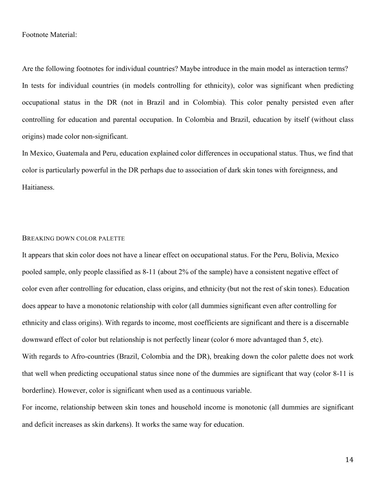#### Footnote Material:

Are the following footnotes for individual countries? Maybe introduce in the main model as interaction terms? In tests for individual countries (in models controlling for ethnicity), color was significant when predicting occupational status in the DR (not in Brazil and in Colombia). This color penalty persisted even after controlling for education and parental occupation. In Colombia and Brazil, education by itself (without class origins) made color non-significant.

In Mexico, Guatemala and Peru, education explained color differences in occupational status. Thus, we find that color is particularly powerful in the DR perhaps due to association of dark skin tones with foreignness, and Haitianess.

#### BREAKING DOWN COLOR PALETTE

It appears that skin color does not have a linear effect on occupational status. For the Peru, Bolivia, Mexico pooled sample, only people classified as 8-11 (about 2% of the sample) have a consistent negative effect of color even after controlling for education, class origins, and ethnicity (but not the rest of skin tones). Education does appear to have a monotonic relationship with color (all dummies significant even after controlling for ethnicity and class origins). With regards to income, most coefficients are significant and there is a discernable downward effect of color but relationship is not perfectly linear (color 6 more advantaged than 5, etc). With regards to Afro-countries (Brazil, Colombia and the DR), breaking down the color palette does not work that well when predicting occupational status since none of the dummies are significant that way (color 8-11 is borderline). However, color is significant when used as a continuous variable.

For income, relationship between skin tones and household income is monotonic (all dummies are significant and deficit increases as skin darkens). It works the same way for education.

14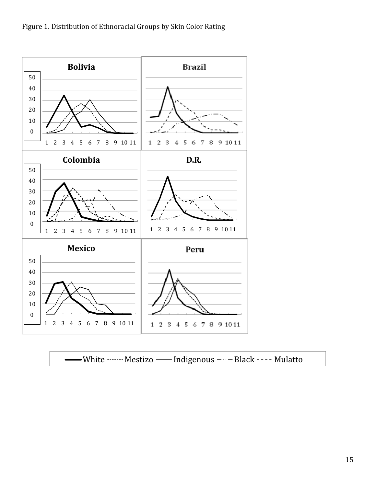

White Mestizo Indigenous Black Mulatto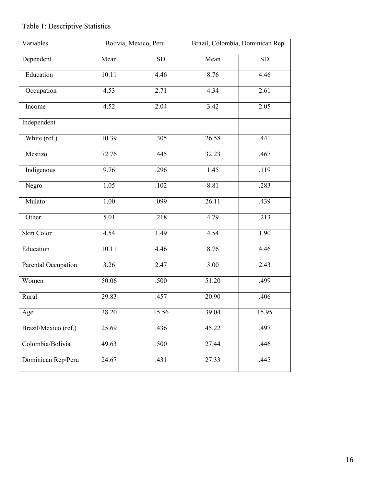# Table 1: Descriptive Statistics

| Variables            |          | Bolivia, Mexico, Peru |       | Brazil, Colombia, Dominican Rep. |
|----------------------|----------|-----------------------|-------|----------------------------------|
| Dependent            | Mean     | ${\rm SD}$            | Mean  | SD                               |
| Education            | 10.11    | 4.46                  | 8.76  | 4.46                             |
| Occupation           | 4.53     | 2.71                  | 4.34  | 2.61                             |
| Income               | 4.52     | 2.04                  | 3.42  | 2.05                             |
| Independent          |          |                       |       |                                  |
| White (ref.)         | 10.39    | .305                  | 26.58 | .441                             |
| Mestizo              | 72.76    | .445                  | 32.23 | .467                             |
| Indigenous           | 9.76     | .296                  | 1.45  | .119                             |
| Negro                | 1.05     | $.102\,$              | 8.81  | .283                             |
| Mulato               | $1.00\,$ | .099                  | 26.11 | .439                             |
| Other                | 5.01     | .218                  | 4.79  | .213                             |
| Skin Color           | 4.54     | 1.49                  | 4.54  | 1.90                             |
| Education            | 10.11    | 4.46                  | 8.76  | 4.46                             |
| Parental Occupation  | 3.26     | 2.47                  | 3.00  | 2.43                             |
| Women                | 50.06    | .500                  | 51.20 | .499                             |
| Rural                | 29.83    | .457                  | 20.90 | .406                             |
| Age                  | 38.20    | 15.56                 | 39.04 | 15.95                            |
| Brazil/Mexico (ref.) | 25.69    | .436                  | 45.22 | .497                             |
| Colombia/Bolivia     | 49.63    | .500                  | 27.44 | .446                             |
| Dominican Rep/Peru   | 24.67    | .431                  | 27.33 | .445                             |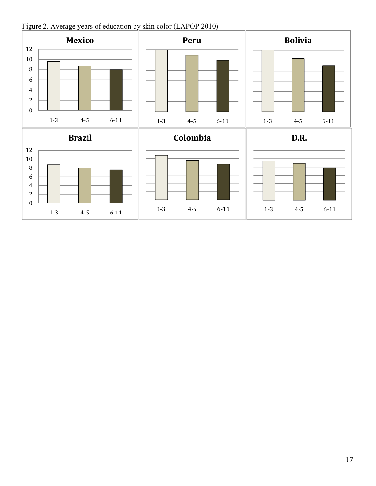

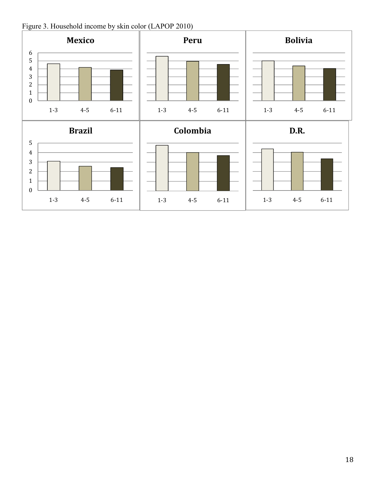

Figure 3. Household income by skin color (LAPOP 2010)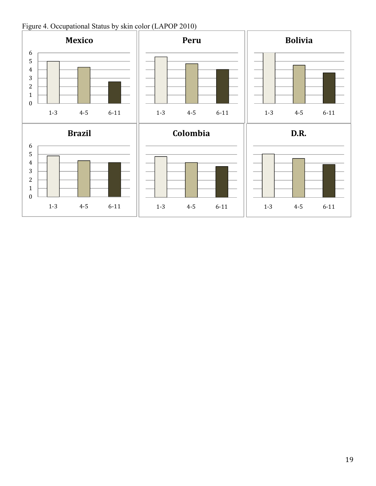Figure 4. Occupational Status by skin color (LAPOP 2010)

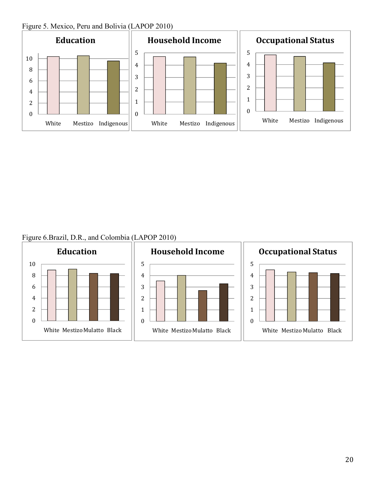Figure 5. Mexico, Peru and Bolivia (LAPOP 2010)



Figure 6.Brazil, D.R., and Colombia (LAPOP 2010)

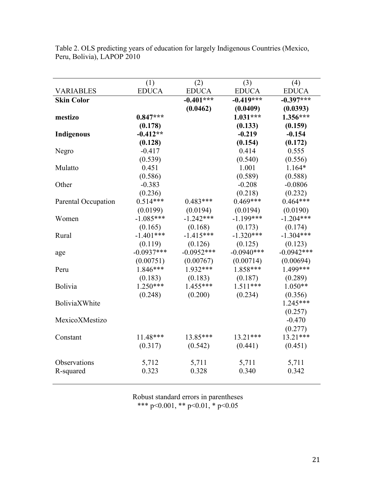|                     | (1)            | (2)            | (3)            | (4)            |
|---------------------|----------------|----------------|----------------|----------------|
| <b>VARIABLES</b>    | <b>EDUCA</b>   | <b>EDUCA</b>   | <b>EDUCA</b>   | <b>EDUCA</b>   |
| <b>Skin Color</b>   |                | $-0.401***$    | $-0.419***$    | $-0.397***$    |
|                     |                | (0.0462)       | (0.0409)       | (0.0393)       |
| mestizo             | $0.847***$     |                | $1.031***$     | $1.356***$     |
|                     | (0.178)        |                | (0.133)        | (0.159)        |
| <b>Indigenous</b>   | $-0.412**$     |                | $-0.219$       | $-0.154$       |
|                     | (0.128)        |                | (0.154)        | (0.172)        |
| Negro               | $-0.417$       |                | 0.414          | 0.555          |
|                     | (0.539)        |                | (0.540)        | (0.556)        |
| Mulatto             | 0.451          |                | 1.001          | $1.164*$       |
|                     | (0.586)        |                | (0.589)        | (0.588)        |
| Other               | $-0.383$       |                | $-0.208$       | $-0.0806$      |
|                     | (0.236)        |                | (0.218)        | (0.232)        |
| Parental Occupation | $0.514***$     | $0.483***$     | $0.469***$     | $0.464***$     |
|                     | (0.0199)       | (0.0194)       | (0.0194)       | (0.0190)       |
| Women               | $-1.085***$    | $-1.242***$    | $-1.199***$    | $-1.204***$    |
|                     | (0.165)        | (0.168)        | (0.173)        | (0.174)        |
| Rural               | $-1.401***$    | $-1.415***$    | $-1.320***$    | $-1.304***$    |
|                     | (0.119)        | (0.126)        | (0.125)        | (0.123)        |
| age                 | $-0.0937***$   | $-0.0952***$   | $-0.0940***$   | $-0.0942***$   |
|                     | (0.00751)      | (0.00767)      | (0.00714)      | (0.00694)      |
| Peru                | $1.846***$     | 1.932***       | 1.858***       | 1.499***       |
|                     | (0.183)        | (0.183)        | (0.187)        | (0.289)        |
| Bolivia             | $1.250***$     | $1.455***$     | $1.511***$     | $1.050**$      |
|                     | (0.248)        | (0.200)        | (0.234)        | (0.356)        |
| BoliviaXWhite       |                |                |                | $1.245***$     |
|                     |                |                |                | (0.257)        |
| MexicoXMestizo      |                |                |                | $-0.470$       |
|                     |                |                |                | (0.277)        |
| Constant            | $11.48***$     | 13.85***       | $13.21***$     | $13.21***$     |
|                     | (0.317)        | (0.542)        | (0.441)        | (0.451)        |
|                     |                |                |                |                |
| Observations        | 5,712<br>0.323 | 5,711<br>0.328 | 5,711<br>0.340 | 5,711<br>0.342 |
| R-squared           |                |                |                |                |

Table 2. OLS predicting years of education for largely Indigenous Countries (Mexico, Peru, Bolivia), LAPOP 2010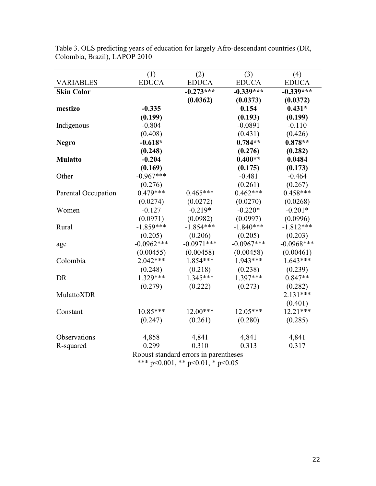| <b>VARIABLES</b>    | (1)<br><b>EDUCA</b> | (2)<br><b>EDUCA</b> | (3)<br><b>EDUCA</b> | (4)<br><b>EDUCA</b> |
|---------------------|---------------------|---------------------|---------------------|---------------------|
| <b>Skin Color</b>   |                     | $-0.273***$         | $-0.339***$         | $-0.339***$         |
|                     |                     |                     |                     |                     |
|                     |                     | (0.0362)            | (0.0373)            | (0.0372)            |
| mestizo             | $-0.335$            |                     | 0.154               | $0.431*$            |
|                     | (0.199)             |                     | (0.193)             | (0.199)             |
| Indigenous          | $-0.804$            |                     | $-0.0891$           | $-0.110$            |
|                     | (0.408)             |                     | (0.431)             | (0.426)             |
| <b>Negro</b>        | $-0.618*$           |                     | $0.784**$           | $0.878**$           |
|                     | (0.248)             |                     | (0.276)             | (0.282)             |
| <b>Mulatto</b>      | $-0.204$            |                     | $0.400**$           | 0.0484              |
|                     | (0.169)             |                     | (0.175)             | (0.173)             |
| Other               | $-0.967***$         |                     | $-0.481$            | $-0.464$            |
|                     | (0.276)             |                     | (0.261)             | (0.267)             |
| Parental Occupation | $0.479***$          | $0.465***$          | $0.462***$          | $0.458***$          |
|                     | (0.0274)            | (0.0272)            | (0.0270)            | (0.0268)            |
| Women               | $-0.127$            | $-0.219*$           | $-0.220*$           | $-0.201*$           |
|                     | (0.0971)            | (0.0982)            | (0.0997)            | (0.0996)            |
| Rural               | $-1.859***$         | $-1.854***$         | $-1.840***$         | $-1.812***$         |
|                     | (0.205)             | (0.206)             | (0.205)             | (0.203)             |
| age                 | $-0.0962***$        | $-0.0971***$        | $-0.0967***$        | $-0.0968***$        |
|                     | (0.00455)           | (0.00458)           | (0.00458)           | (0.00461)           |
| Colombia            | $2.042***$          | $1.854***$          | $1.943***$          | $1.643***$          |
|                     | (0.248)             | (0.218)             | (0.238)             | (0.239)             |
| DR                  | $1.329***$          | $1.345***$          | $1.397***$          | $0.847**$           |
|                     | (0.279)             | (0.222)             | (0.273)             | (0.282)             |
| MulattoXDR          |                     |                     |                     | $2.131***$          |
|                     |                     |                     |                     | (0.401)             |
| Constant            | $10.85***$          | $12.00***$          | $12.05***$          | $12.21***$          |
|                     | (0.247)             | (0.261)             | (0.280)             | (0.285)             |
|                     |                     |                     |                     |                     |
| Observations        | 4,858               | 4,841               | 4,841               | 4,841               |
| R-squared           | 0.299               | 0.310               | 0.313               | 0.317               |

Table 3. OLS predicting years of education for largely Afro-descendant countries (DR, Colombia, Brazil), LAPOP 2010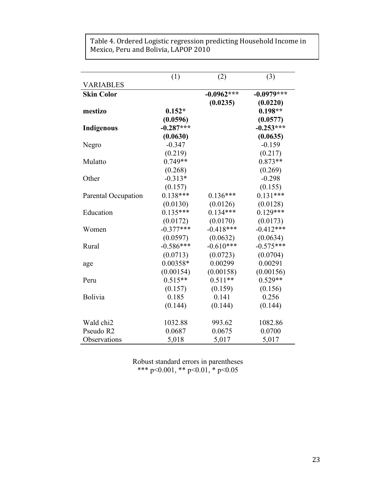Table 4. Ordered Logistic regression predicting Household Income in Mexico, Peru and Bolivia, LAPOP 2010

|                     | (1)         | (2)          | (3)          |
|---------------------|-------------|--------------|--------------|
| <b>VARIABLES</b>    |             |              |              |
| <b>Skin Color</b>   |             | $-0.0962***$ | $-0.0979***$ |
|                     |             | (0.0235)     | (0.0220)     |
| mestizo             | $0.152*$    |              | $0.198**$    |
|                     | (0.0596)    |              | (0.0577)     |
| <b>Indigenous</b>   | $-0.287***$ |              | $-0.253***$  |
|                     | (0.0630)    |              | (0.0635)     |
| Negro               | $-0.347$    |              | $-0.159$     |
|                     | (0.219)     |              | (0.217)      |
| Mulatto             | $0.749**$   |              | $0.873**$    |
|                     | (0.268)     |              | (0.269)      |
| Other               | $-0.313*$   |              | $-0.298$     |
|                     | (0.157)     |              | (0.155)      |
| Parental Occupation | $0.138***$  | $0.136***$   | $0.131***$   |
|                     | (0.0130)    | (0.0126)     | (0.0128)     |
| Education           | $0.135***$  | $0.134***$   | $0.129***$   |
|                     | (0.0172)    | (0.0170)     | (0.0173)     |
| Women               | $-0.377***$ | $-0.418***$  | $-0.412***$  |
|                     | (0.0597)    | (0.0632)     | (0.0634)     |
| Rural               | $-0.586***$ | $-0.610***$  | $-0.575***$  |
|                     | (0.0713)    | (0.0723)     | (0.0704)     |
| age                 | $0.00358*$  | 0.00299      | 0.00291      |
|                     | (0.00154)   | (0.00158)    | (0.00156)    |
| Peru                | $0.515**$   | $0.511**$    | $0.529**$    |
|                     | (0.157)     | (0.159)      | (0.156)      |
| Bolivia             | 0.185       | 0.141        | 0.256        |
|                     | (0.144)     | (0.144)      | (0.144)      |
|                     |             |              |              |
| Wald chi2           | 1032.88     | 993.62       | 1082.86      |
| Pseudo R2           | 0.0687      | 0.0675       | 0.0700       |
| Observations        | 5,018       | 5,017        | 5,017        |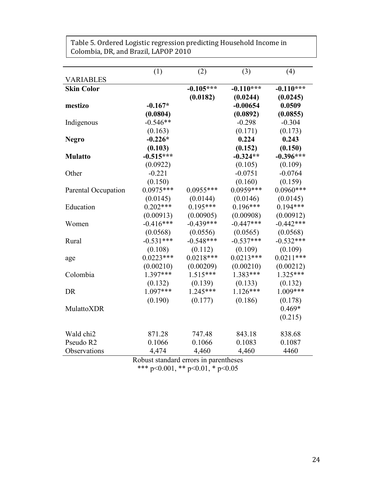|                     | (1)                               | (2)         | (3)         | (4)         |
|---------------------|-----------------------------------|-------------|-------------|-------------|
| <b>VARIABLES</b>    |                                   |             |             |             |
| <b>Skin Color</b>   |                                   | $-0.105***$ | $-0.110***$ | $-0.110***$ |
|                     |                                   | (0.0182)    | (0.0244)    | (0.0245)    |
| mestizo             | $-0.167*$                         |             | $-0.00654$  | 0.0509      |
|                     | (0.0804)                          |             | (0.0892)    | (0.0855)    |
| Indigenous          | $-0.546**$                        |             | $-0.298$    | $-0.304$    |
|                     | (0.163)                           |             | (0.171)     | (0.173)     |
| <b>Negro</b>        | $-0.226*$                         |             | 0.224       | 0.243       |
|                     | (0.103)                           |             | (0.152)     | (0.150)     |
| <b>Mulatto</b>      | $-0.515***$                       |             | $-0.324**$  | $-0.396***$ |
|                     | (0.0922)                          |             | (0.105)     | (0.109)     |
| Other               | $-0.221$                          |             | $-0.0751$   | $-0.0764$   |
|                     | (0.150)                           |             | (0.160)     | (0.159)     |
| Parental Occupation | $0.0975***$                       | $0.0955***$ | $0.0959***$ | $0.0960***$ |
|                     | (0.0145)                          | (0.0144)    | (0.0146)    | (0.0145)    |
| Education           | $0.202***$                        | $0.195***$  | $0.196***$  | $0.194***$  |
|                     | (0.00913)                         | (0.00905)   | (0.00908)   | (0.00912)   |
| Women               | $-0.416***$                       | $-0.439***$ | $-0.447***$ | $-0.442***$ |
|                     | (0.0568)                          | (0.0556)    | (0.0565)    | (0.0568)    |
| Rural               | $-0.531***$                       | $-0.548***$ | $-0.537***$ | $-0.532***$ |
|                     | (0.108)                           | (0.112)     | (0.109)     | (0.109)     |
| age                 | $0.0223***$                       | $0.0218***$ | $0.0213***$ | $0.0211***$ |
|                     | (0.00210)                         | (0.00209)   | (0.00210)   | (0.00212)   |
| Colombia            | 1.397***                          | $1.515***$  | $1.383***$  | $1.325***$  |
|                     | (0.132)                           | (0.139)     | (0.133)     | (0.132)     |
| DR                  | 1.097***                          | 1.245***    | $1.126***$  | 1.009***    |
|                     | (0.190)                           | (0.177)     | (0.186)     | (0.178)     |
| MulattoXDR          |                                   |             |             | $0.469*$    |
|                     |                                   |             |             | (0.215)     |
| Wald chi2           | 871.28                            | 747.48      | 843.18      | 838.68      |
| Pseudo R2           | 0.1066                            | 0.1066      | 0.1083      | 0.1087      |
| Observations        | 4,474                             | 4,460       | 4,460       | 4460        |
|                     | $D - 1 - 1 - 1 - 1 - 1$<br>. 1. 1 |             | 41. L       |             |

Table 5. Ordered Logistic regression predicting Household Income in Colombia, DR, and Brazil, LAPOP 2010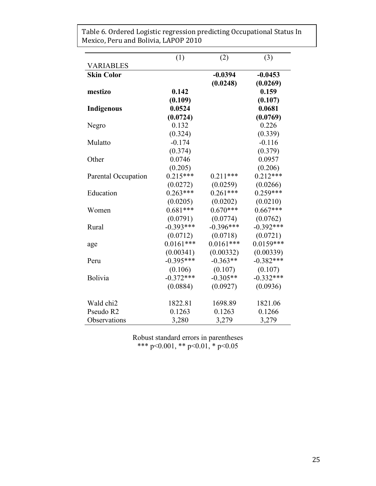|                     | (1)         | (2)         | (3)         |
|---------------------|-------------|-------------|-------------|
| <b>VARIABLES</b>    |             |             |             |
| <b>Skin Color</b>   |             | $-0.0394$   | $-0.0453$   |
|                     |             | (0.0248)    | (0.0269)    |
| mestizo             | 0.142       |             | 0.159       |
|                     | (0.109)     |             | (0.107)     |
| <b>Indigenous</b>   | 0.0524      |             | 0.0681      |
|                     | (0.0724)    |             | (0.0769)    |
| Negro               | 0.132       |             | 0.226       |
|                     | (0.324)     |             | (0.339)     |
| Mulatto             | $-0.174$    |             | $-0.116$    |
|                     | (0.374)     |             | (0.379)     |
| Other               | 0.0746      |             | 0.0957      |
|                     | (0.205)     |             | (0.206)     |
| Parental Occupation | $0.215***$  | $0.211***$  | $0.212***$  |
|                     | (0.0272)    | (0.0259)    | (0.0266)    |
| Education           | $0.263***$  | $0.261***$  | $0.259***$  |
|                     | (0.0205)    | (0.0202)    | (0.0210)    |
| Women               | $0.681***$  | $0.670***$  | $0.667***$  |
|                     | (0.0791)    | (0.0774)    | (0.0762)    |
| Rural               | $-0.393***$ | $-0.396***$ | $-0.392***$ |
|                     | (0.0712)    | (0.0718)    | (0.0721)    |
| age                 | $0.0161***$ | $0.0161***$ | $0.0159***$ |
|                     | (0.00341)   | (0.00332)   | (0.00339)   |
| Peru                | $-0.395***$ | $-0.363**$  | $-0.382***$ |
|                     | (0.106)     | (0.107)     | (0.107)     |
| Bolivia             | $-0.372***$ | $-0.305**$  | $-0.332***$ |
|                     | (0.0884)    | (0.0927)    | (0.0936)    |
| Wald chi2           | 1822.81     | 1698.89     | 1821.06     |
| Pseudo R2           | 0.1263      | 0.1263      | 0.1266      |
| Observations        | 3,280       | 3,279       | 3,279       |

Table 6. Ordered Logistic regression predicting Occupational Status In Mexico, Peru and Bolivia, LAPOP 2010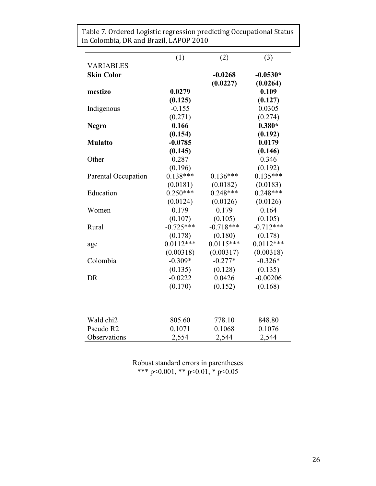|                       | (1)         | (2)         | (3)         |
|-----------------------|-------------|-------------|-------------|
| <b>VARIABLES</b>      |             |             |             |
| <b>Skin Color</b>     |             | $-0.0268$   | $-0.0530*$  |
|                       |             | (0.0227)    | (0.0264)    |
| mestizo               | 0.0279      |             | 0.109       |
|                       | (0.125)     |             | (0.127)     |
| Indigenous            | $-0.155$    |             | 0.0305      |
|                       | (0.271)     |             | (0.274)     |
| <b>Negro</b>          | 0.166       |             | $0.380*$    |
|                       | (0.154)     |             | (0.192)     |
| <b>Mulatto</b>        | $-0.0785$   |             | 0.0179      |
|                       | (0.145)     |             | (0.146)     |
| Other                 | 0.287       |             | 0.346       |
|                       | (0.196)     |             | (0.192)     |
| Parental Occupation   | $0.138***$  | $0.136***$  | $0.135***$  |
|                       | (0.0181)    | (0.0182)    | (0.0183)    |
| Education             | $0.250***$  | $0.248***$  | $0.248***$  |
|                       | (0.0124)    | (0.0126)    | (0.0126)    |
| Women                 | 0.179       | 0.179       | 0.164       |
|                       | (0.107)     | (0.105)     | (0.105)     |
| Rural                 | $-0.725***$ | $-0.718***$ | $-0.712***$ |
|                       | (0.178)     | (0.180)     | (0.178)     |
| age                   | $0.0112***$ | $0.0115***$ | $0.0112***$ |
|                       | (0.00318)   | (0.00317)   | (0.00318)   |
| Colombia              | $-0.309*$   | $-0.277*$   | $-0.326*$   |
|                       | (0.135)     | (0.128)     | (0.135)     |
| <b>DR</b>             | $-0.0222$   | 0.0426      | $-0.00206$  |
|                       | (0.170)     | (0.152)     | (0.168)     |
|                       |             |             |             |
|                       |             |             |             |
| Wald chi <sub>2</sub> | 805.60      | 778.10      | 848.80      |
| Pseudo R2             | 0.1071      | 0.1068      | 0.1076      |
| Observations          | 2,554       | 2,544       | 2,544       |

Table 7. Ordered Logistic regression predicting Occupational Status in Colombia, DR and Brazil, LAPOP 2010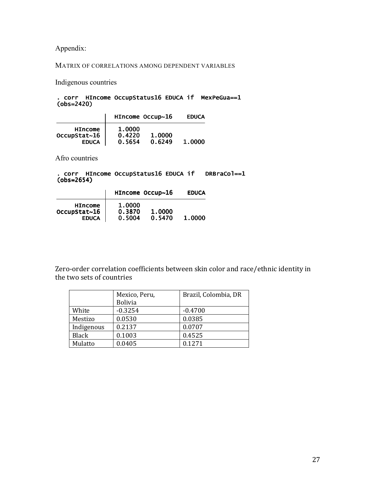Appendix:

### MATRIX OF CORRELATIONS AMONG DEPENDENT VARIABLES

Indigenous countries

#### (obs=2420) . corr HIncome OccupStatus16 EDUCA if MexPeGua==1

|                                                | HIncome Occup~16           |                  | <b>EDUCA</b> |
|------------------------------------------------|----------------------------|------------------|--------------|
| <b>HIncome</b><br>OccupStat~16<br><b>EDUCA</b> | 1.0000<br>0.4220<br>0.5654 | 1.0000<br>0.6249 | 1.0000       |

Afro countries

(obs=2654) . corr HIncome OccupStatus16 EDUCA if DRBraCol==1

|                                                | HIncome Occup~16           |                  | <b>EDUCA</b> |
|------------------------------------------------|----------------------------|------------------|--------------|
| <b>HIncome</b><br>OccupStat~16<br><b>EDUCA</b> | 1.0000<br>0.3870<br>0.5004 | 1.0000<br>0.5470 | 1.0000       |

Zero-order correlation coefficients between skin color and race/ethnic identity in the two sets of countries

|              | Mexico, Peru,  | Brazil, Colombia, DR |
|--------------|----------------|----------------------|
|              | <b>Bolivia</b> |                      |
| White        | $-0.3254$      | $-0.4700$            |
| Mestizo      | 0.0530         | 0.0385               |
| Indigenous   | 0.2137         | 0.0707               |
| <b>Black</b> | 0.1003         | 0.4525               |
| Mulatto      | 0.0405         | 0.1271               |